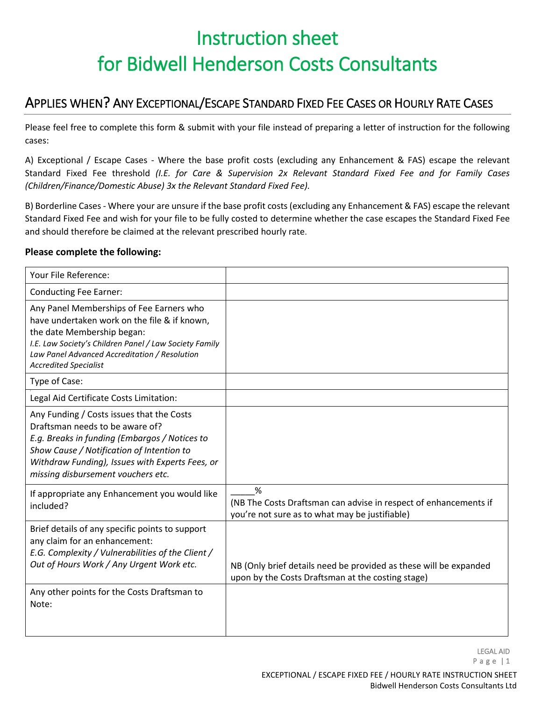# Instruction sheet for Bidwell Henderson Costs Consultants

### APPLIES WHEN? ANY EXCEPTIONAL/ESCAPE STANDARD FIXED FEE CASES OR HOURLY RATE CASES

Please feel free to complete this form & submit with your file instead of preparing a letter of instruction for the following cases:

A) Exceptional / Escape Cases - Where the base profit costs (excluding any Enhancement & FAS) escape the relevant Standard Fixed Fee threshold *(I.E. for Care & Supervision 2x Relevant Standard Fixed Fee and for Family Cases (Children/Finance/Domestic Abuse) 3x the Relevant Standard Fixed Fee).*

B) Borderline Cases - Where your are unsure if the base profit costs (excluding any Enhancement & FAS) escape the relevant Standard Fixed Fee and wish for your file to be fully costed to determine whether the case escapes the Standard Fixed Fee and should therefore be claimed at the relevant prescribed hourly rate.

#### **Please complete the following:**

| Your File Reference:                                                                                                                                                                                                                                                |                                                                                                                         |
|---------------------------------------------------------------------------------------------------------------------------------------------------------------------------------------------------------------------------------------------------------------------|-------------------------------------------------------------------------------------------------------------------------|
| <b>Conducting Fee Earner:</b>                                                                                                                                                                                                                                       |                                                                                                                         |
| Any Panel Memberships of Fee Earners who<br>have undertaken work on the file & if known,<br>the date Membership began:<br>I.E. Law Society's Children Panel / Law Society Family<br>Law Panel Advanced Accreditation / Resolution<br><b>Accredited Specialist</b>   |                                                                                                                         |
| Type of Case:                                                                                                                                                                                                                                                       |                                                                                                                         |
| Legal Aid Certificate Costs Limitation:                                                                                                                                                                                                                             |                                                                                                                         |
| Any Funding / Costs issues that the Costs<br>Draftsman needs to be aware of?<br>E.g. Breaks in funding (Embargos / Notices to<br>Show Cause / Notification of Intention to<br>Withdraw Funding), Issues with Experts Fees, or<br>missing disbursement vouchers etc. |                                                                                                                         |
| If appropriate any Enhancement you would like<br>included?                                                                                                                                                                                                          | %<br>(NB The Costs Draftsman can advise in respect of enhancements if<br>you're not sure as to what may be justifiable) |
| Brief details of any specific points to support<br>any claim for an enhancement:<br>E.G. Complexity / Vulnerabilities of the Client /<br>Out of Hours Work / Any Urgent Work etc.                                                                                   | NB (Only brief details need be provided as these will be expanded<br>upon by the Costs Draftsman at the costing stage)  |
| Any other points for the Costs Draftsman to<br>Note:                                                                                                                                                                                                                |                                                                                                                         |

LEGAL AID Page | 1